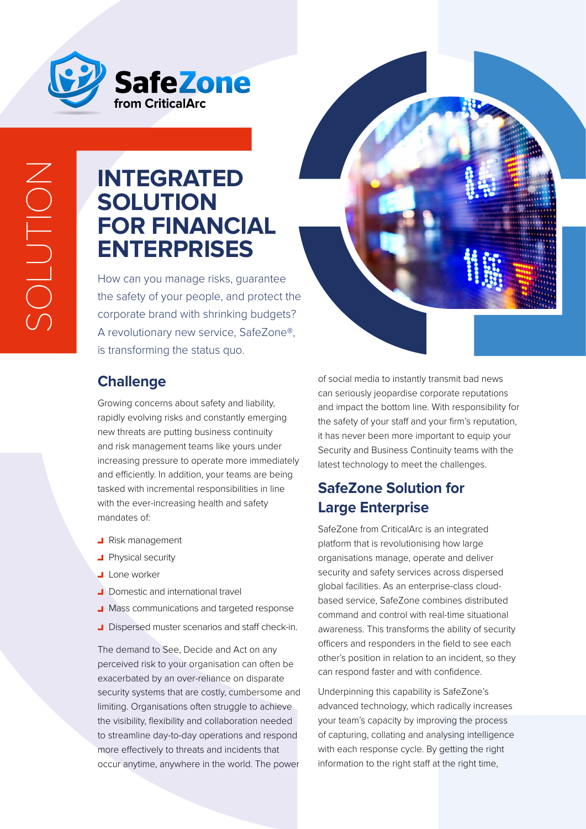

## **INTEGRATED SOLUTION FOR FINANCIAL ENTERPRISES**

How can you manage risks, guarantee the safety of your people, and protect the corporate brand with shrinking budgets? A revolutionary new service, SafeZone®, is transforming the status quo.



#### **Challenge**

Growing concerns about safety and liability, rapidly evolving risks and constantly emerging new threats are putting business continuity and risk management teams like yours under increasing pressure to operate more immediately and efficiently. In addition, your teams are being tasked with incremental responsibilities in line with the ever-increasing health and safety mandates of:

- **Risk management**
- **Physical security**
- Lone worker
- Domestic and international travel
- **J** Mass communications and targeted response
- **J** Dispersed muster scenarios and staff check-in.

The demand to See, Decide and Act on any perceived risk to your organisation can often be exacerbated by an over-reliance on disparate security systems that are costly, cumbersome and limiting. Organisations often struggle to achieve the visibility, flexibility and collaboration needed to streamline day-to-day operations and respond more effectively to threats and incidents that occur anytime, anywhere in the world. The power

of social media to instantly transmit bad news can seriously jeopardise corporate reputations and impact the bottom line. With responsibility for the safety of your staff and your firm's reputation, it has never been more important to equip your Security and Business Continuity teams with the latest technology to meet the challenges.

### **SafeZone Solution for Large Enterprise**

SafeZone from CriticalArc is an integrated platform that is revolutionising how large organisations manage, operate and deliver security and safety services across dispersed global facilities. As an enterprise-class cloudbased service, SafeZone combines distributed command and control with real-time situational awareness. This transforms the ability of security officers and responders in the field to see each other's position in relation to an incident, so they can respond faster and with confidence.

Underpinning this capability is SafeZone's advanced technology, which radically increases your team's capacity by improving the process of capturing, collating and analysing intelligence with each response cycle. By getting the right information to the right staff at the right time,